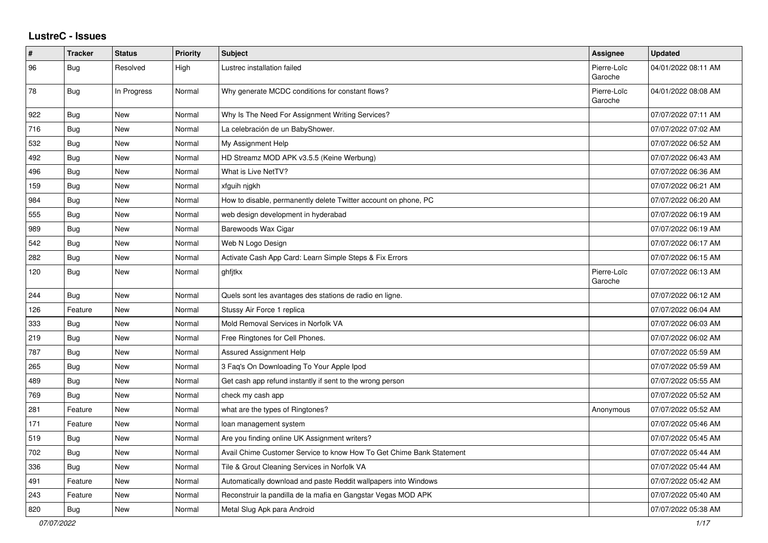## **LustreC - Issues**

| #   | <b>Tracker</b> | <b>Status</b> | <b>Priority</b> | <b>Subject</b>                                                       | Assignee               | <b>Updated</b>      |
|-----|----------------|---------------|-----------------|----------------------------------------------------------------------|------------------------|---------------------|
| 96  | Bug            | Resolved      | High            | Lustrec installation failed                                          | Pierre-Loïc<br>Garoche | 04/01/2022 08:11 AM |
| 78  | Bug            | In Progress   | Normal          | Why generate MCDC conditions for constant flows?                     | Pierre-Loïc<br>Garoche | 04/01/2022 08:08 AM |
| 922 | <b>Bug</b>     | New           | Normal          | Why Is The Need For Assignment Writing Services?                     |                        | 07/07/2022 07:11 AM |
| 716 | Bug            | New           | Normal          | La celebración de un BabyShower.                                     |                        | 07/07/2022 07:02 AM |
| 532 | Bug            | New           | Normal          | My Assignment Help                                                   |                        | 07/07/2022 06:52 AM |
| 492 | Bug            | <b>New</b>    | Normal          | HD Streamz MOD APK v3.5.5 (Keine Werbung)                            |                        | 07/07/2022 06:43 AM |
| 496 | <b>Bug</b>     | New           | Normal          | What is Live NetTV?                                                  |                        | 07/07/2022 06:36 AM |
| 159 | Bug            | New           | Normal          | xfguih njgkh                                                         |                        | 07/07/2022 06:21 AM |
| 984 | <b>Bug</b>     | New           | Normal          | How to disable, permanently delete Twitter account on phone, PC      |                        | 07/07/2022 06:20 AM |
| 555 | Bug            | <b>New</b>    | Normal          | web design development in hyderabad                                  |                        | 07/07/2022 06:19 AM |
| 989 | Bug            | New           | Normal          | Barewoods Wax Cigar                                                  |                        | 07/07/2022 06:19 AM |
| 542 | Bug            | New           | Normal          | Web N Logo Design                                                    |                        | 07/07/2022 06:17 AM |
| 282 | Bug            | New           | Normal          | Activate Cash App Card: Learn Simple Steps & Fix Errors              |                        | 07/07/2022 06:15 AM |
| 120 | <b>Bug</b>     | New           | Normal          | ghfitkx                                                              | Pierre-Loïc<br>Garoche | 07/07/2022 06:13 AM |
| 244 | Bug            | New           | Normal          | Quels sont les avantages des stations de radio en ligne.             |                        | 07/07/2022 06:12 AM |
| 126 | Feature        | New           | Normal          | Stussy Air Force 1 replica                                           |                        | 07/07/2022 06:04 AM |
| 333 | Bug            | New           | Normal          | Mold Removal Services in Norfolk VA                                  |                        | 07/07/2022 06:03 AM |
| 219 | Bug            | New           | Normal          | Free Ringtones for Cell Phones.                                      |                        | 07/07/2022 06:02 AM |
| 787 | Bug            | <b>New</b>    | Normal          | <b>Assured Assignment Help</b>                                       |                        | 07/07/2022 05:59 AM |
| 265 | Bug            | New           | Normal          | 3 Faq's On Downloading To Your Apple Ipod                            |                        | 07/07/2022 05:59 AM |
| 489 | Bug            | New           | Normal          | Get cash app refund instantly if sent to the wrong person            |                        | 07/07/2022 05:55 AM |
| 769 | Bug            | New           | Normal          | check my cash app                                                    |                        | 07/07/2022 05:52 AM |
| 281 | Feature        | New           | Normal          | what are the types of Ringtones?                                     | Anonymous              | 07/07/2022 05:52 AM |
| 171 | Feature        | New           | Normal          | loan management system                                               |                        | 07/07/2022 05:46 AM |
| 519 | Bug            | New           | Normal          | Are you finding online UK Assignment writers?                        |                        | 07/07/2022 05:45 AM |
| 702 | Bug            | New           | Normal          | Avail Chime Customer Service to know How To Get Chime Bank Statement |                        | 07/07/2022 05:44 AM |
| 336 | Bug            | New           | Normal          | Tile & Grout Cleaning Services in Norfolk VA                         |                        | 07/07/2022 05:44 AM |
| 491 | Feature        | New           | Normal          | Automatically download and paste Reddit wallpapers into Windows      |                        | 07/07/2022 05:42 AM |
| 243 | Feature        | New           | Normal          | Reconstruir la pandilla de la mafia en Gangstar Vegas MOD APK        |                        | 07/07/2022 05:40 AM |
| 820 | <b>Bug</b>     | <b>New</b>    | Normal          | Metal Slug Apk para Android                                          |                        | 07/07/2022 05:38 AM |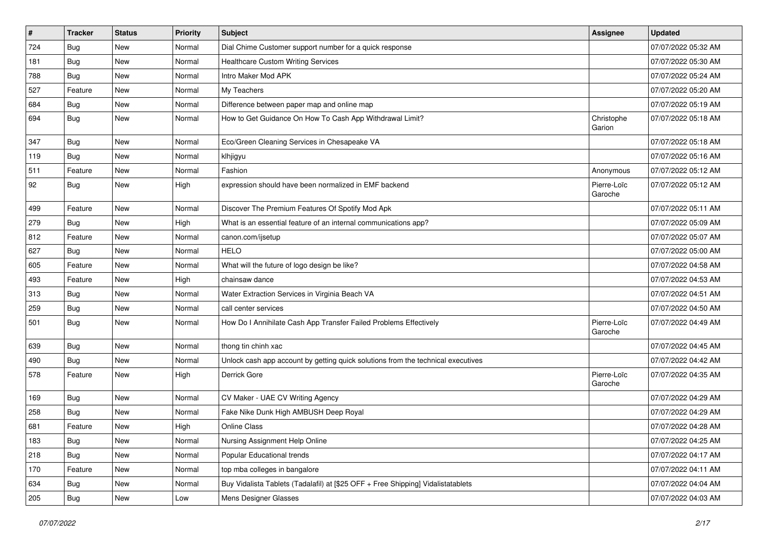| $\pmb{\#}$ | <b>Tracker</b> | <b>Status</b> | <b>Priority</b> | Subject                                                                          | <b>Assignee</b>        | <b>Updated</b>      |
|------------|----------------|---------------|-----------------|----------------------------------------------------------------------------------|------------------------|---------------------|
| 724        | Bug            | <b>New</b>    | Normal          | Dial Chime Customer support number for a quick response                          |                        | 07/07/2022 05:32 AM |
| 181        | <b>Bug</b>     | <b>New</b>    | Normal          | <b>Healthcare Custom Writing Services</b>                                        |                        | 07/07/2022 05:30 AM |
| 788        | <b>Bug</b>     | New           | Normal          | Intro Maker Mod APK                                                              |                        | 07/07/2022 05:24 AM |
| 527        | Feature        | <b>New</b>    | Normal          | My Teachers                                                                      |                        | 07/07/2022 05:20 AM |
| 684        | <b>Bug</b>     | <b>New</b>    | Normal          | Difference between paper map and online map                                      |                        | 07/07/2022 05:19 AM |
| 694        | <b>Bug</b>     | <b>New</b>    | Normal          | How to Get Guidance On How To Cash App Withdrawal Limit?                         | Christophe<br>Garion   | 07/07/2022 05:18 AM |
| 347        | <b>Bug</b>     | <b>New</b>    | Normal          | Eco/Green Cleaning Services in Chesapeake VA                                     |                        | 07/07/2022 05:18 AM |
| 119        | Bug            | <b>New</b>    | Normal          | klhjigyu                                                                         |                        | 07/07/2022 05:16 AM |
| 511        | Feature        | <b>New</b>    | Normal          | Fashion                                                                          | Anonymous              | 07/07/2022 05:12 AM |
| 92         | <b>Bug</b>     | <b>New</b>    | High            | expression should have been normalized in EMF backend                            | Pierre-Loïc<br>Garoche | 07/07/2022 05:12 AM |
| 499        | Feature        | <b>New</b>    | Normal          | Discover The Premium Features Of Spotify Mod Apk                                 |                        | 07/07/2022 05:11 AM |
| 279        | <b>Bug</b>     | <b>New</b>    | High            | What is an essential feature of an internal communications app?                  |                        | 07/07/2022 05:09 AM |
| 812        | Feature        | <b>New</b>    | Normal          | canon.com/ijsetup                                                                |                        | 07/07/2022 05:07 AM |
| 627        | Bug            | New           | Normal          | <b>HELO</b>                                                                      |                        | 07/07/2022 05:00 AM |
| 605        | Feature        | <b>New</b>    | Normal          | What will the future of logo design be like?                                     |                        | 07/07/2022 04:58 AM |
| 493        | Feature        | <b>New</b>    | High            | chainsaw dance                                                                   |                        | 07/07/2022 04:53 AM |
| 313        | Bug            | <b>New</b>    | Normal          | Water Extraction Services in Virginia Beach VA                                   |                        | 07/07/2022 04:51 AM |
| 259        | <b>Bug</b>     | <b>New</b>    | Normal          | call center services                                                             |                        | 07/07/2022 04:50 AM |
| 501        | <b>Bug</b>     | <b>New</b>    | Normal          | How Do I Annihilate Cash App Transfer Failed Problems Effectively                | Pierre-Loïc<br>Garoche | 07/07/2022 04:49 AM |
| 639        | Bug            | <b>New</b>    | Normal          | thong tin chinh xac                                                              |                        | 07/07/2022 04:45 AM |
| 490        | <b>Bug</b>     | New           | Normal          | Unlock cash app account by getting quick solutions from the technical executives |                        | 07/07/2022 04:42 AM |
| 578        | Feature        | <b>New</b>    | High            | Derrick Gore                                                                     | Pierre-Loïc<br>Garoche | 07/07/2022 04:35 AM |
| 169        | <b>Bug</b>     | <b>New</b>    | Normal          | CV Maker - UAE CV Writing Agency                                                 |                        | 07/07/2022 04:29 AM |
| 258        | <b>Bug</b>     | <b>New</b>    | Normal          | Fake Nike Dunk High AMBUSH Deep Royal                                            |                        | 07/07/2022 04:29 AM |
| 681        | Feature        | <b>New</b>    | High            | <b>Online Class</b>                                                              |                        | 07/07/2022 04:28 AM |
| 183        | <b>Bug</b>     | New           | Normal          | Nursing Assignment Help Online                                                   |                        | 07/07/2022 04:25 AM |
| 218        | Bug            | New           | Normal          | Popular Educational trends                                                       |                        | 07/07/2022 04:17 AM |
| 170        | Feature        | New           | Normal          | top mba colleges in bangalore                                                    |                        | 07/07/2022 04:11 AM |
| 634        | <b>Bug</b>     | New           | Normal          | Buy Vidalista Tablets (Tadalafil) at [\$25 OFF + Free Shipping] Vidalistatablets |                        | 07/07/2022 04:04 AM |
| 205        | <b>Bug</b>     | New           | Low             | Mens Designer Glasses                                                            |                        | 07/07/2022 04:03 AM |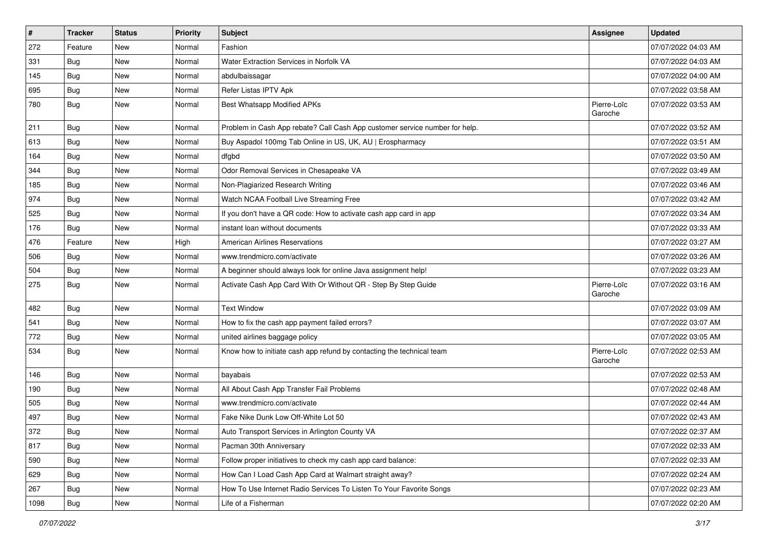| $\sharp$ | <b>Tracker</b> | <b>Status</b> | <b>Priority</b> | <b>Subject</b>                                                              | <b>Assignee</b>        | <b>Updated</b>      |
|----------|----------------|---------------|-----------------|-----------------------------------------------------------------------------|------------------------|---------------------|
| 272      | Feature        | New           | Normal          | Fashion                                                                     |                        | 07/07/2022 04:03 AM |
| 331      | Bug            | New           | Normal          | Water Extraction Services in Norfolk VA                                     |                        | 07/07/2022 04:03 AM |
| 145      | Bug            | New           | Normal          | abdulbaissagar                                                              |                        | 07/07/2022 04:00 AM |
| 695      | Bug            | <b>New</b>    | Normal          | Refer Listas IPTV Apk                                                       |                        | 07/07/2022 03:58 AM |
| 780      | <b>Bug</b>     | <b>New</b>    | Normal          | Best Whatsapp Modified APKs                                                 | Pierre-Loïc<br>Garoche | 07/07/2022 03:53 AM |
| 211      | <b>Bug</b>     | <b>New</b>    | Normal          | Problem in Cash App rebate? Call Cash App customer service number for help. |                        | 07/07/2022 03:52 AM |
| 613      | <b>Bug</b>     | <b>New</b>    | Normal          | Buy Aspadol 100mg Tab Online in US, UK, AU   Erospharmacy                   |                        | 07/07/2022 03:51 AM |
| 164      | Bug            | <b>New</b>    | Normal          | dfgbd                                                                       |                        | 07/07/2022 03:50 AM |
| 344      | <b>Bug</b>     | <b>New</b>    | Normal          | Odor Removal Services in Chesapeake VA                                      |                        | 07/07/2022 03:49 AM |
| 185      | Bug            | New           | Normal          | Non-Plagiarized Research Writing                                            |                        | 07/07/2022 03:46 AM |
| 974      | Bug            | <b>New</b>    | Normal          | Watch NCAA Football Live Streaming Free                                     |                        | 07/07/2022 03:42 AM |
| 525      | <b>Bug</b>     | <b>New</b>    | Normal          | If you don't have a QR code: How to activate cash app card in app           |                        | 07/07/2022 03:34 AM |
| 176      | Bug            | <b>New</b>    | Normal          | instant loan without documents                                              |                        | 07/07/2022 03:33 AM |
| 476      | Feature        | <b>New</b>    | High            | <b>American Airlines Reservations</b>                                       |                        | 07/07/2022 03:27 AM |
| 506      | Bug            | New           | Normal          | www.trendmicro.com/activate                                                 |                        | 07/07/2022 03:26 AM |
| 504      | Bug            | <b>New</b>    | Normal          | A beginner should always look for online Java assignment help!              |                        | 07/07/2022 03:23 AM |
| 275      | <b>Bug</b>     | <b>New</b>    | Normal          | Activate Cash App Card With Or Without QR - Step By Step Guide              | Pierre-Loïc<br>Garoche | 07/07/2022 03:16 AM |
| 482      | <b>Bug</b>     | <b>New</b>    | Normal          | <b>Text Window</b>                                                          |                        | 07/07/2022 03:09 AM |
| 541      | <b>Bug</b>     | <b>New</b>    | Normal          | How to fix the cash app payment failed errors?                              |                        | 07/07/2022 03:07 AM |
| 772      | Bug            | <b>New</b>    | Normal          | united airlines baggage policy                                              |                        | 07/07/2022 03:05 AM |
| 534      | <b>Bug</b>     | <b>New</b>    | Normal          | Know how to initiate cash app refund by contacting the technical team       | Pierre-Loïc<br>Garoche | 07/07/2022 02:53 AM |
| 146      | <b>Bug</b>     | New           | Normal          | bayabais                                                                    |                        | 07/07/2022 02:53 AM |
| 190      | <b>Bug</b>     | <b>New</b>    | Normal          | All About Cash App Transfer Fail Problems                                   |                        | 07/07/2022 02:48 AM |
| 505      | Bug            | <b>New</b>    | Normal          | www.trendmicro.com/activate                                                 |                        | 07/07/2022 02:44 AM |
| 497      | Bug            | <b>New</b>    | Normal          | Fake Nike Dunk Low Off-White Lot 50                                         |                        | 07/07/2022 02:43 AM |
| 372      | Bug            | New           | Normal          | Auto Transport Services in Arlington County VA                              |                        | 07/07/2022 02:37 AM |
| 817      | <b>Bug</b>     | New           | Normal          | Pacman 30th Anniversary                                                     |                        | 07/07/2022 02:33 AM |
| 590      | <b>Bug</b>     | New           | Normal          | Follow proper initiatives to check my cash app card balance:                |                        | 07/07/2022 02:33 AM |
| 629      | Bug            | New           | Normal          | How Can I Load Cash App Card at Walmart straight away?                      |                        | 07/07/2022 02:24 AM |
| 267      | Bug            | New           | Normal          | How To Use Internet Radio Services To Listen To Your Favorite Songs         |                        | 07/07/2022 02:23 AM |
| 1098     | <b>Bug</b>     | New           | Normal          | Life of a Fisherman                                                         |                        | 07/07/2022 02:20 AM |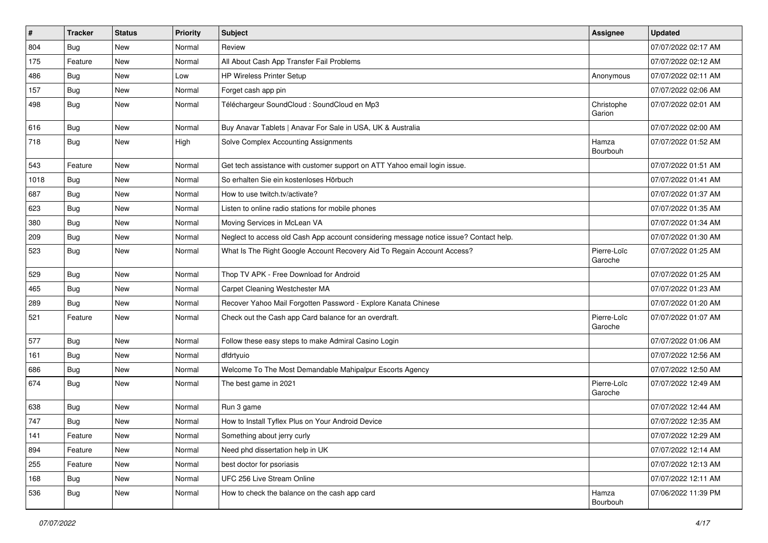| $\vert$ # | <b>Tracker</b> | <b>Status</b> | <b>Priority</b> | Subject                                                                                | <b>Assignee</b>        | <b>Updated</b>      |
|-----------|----------------|---------------|-----------------|----------------------------------------------------------------------------------------|------------------------|---------------------|
| 804       | Bug            | New           | Normal          | Review                                                                                 |                        | 07/07/2022 02:17 AM |
| 175       | Feature        | <b>New</b>    | Normal          | All About Cash App Transfer Fail Problems                                              |                        | 07/07/2022 02:12 AM |
| 486       | Bug            | New           | Low             | HP Wireless Printer Setup                                                              | Anonymous              | 07/07/2022 02:11 AM |
| 157       | Bug            | <b>New</b>    | Normal          | Forget cash app pin                                                                    |                        | 07/07/2022 02:06 AM |
| 498       | <b>Bug</b>     | <b>New</b>    | Normal          | Téléchargeur SoundCloud : SoundCloud en Mp3                                            | Christophe<br>Garion   | 07/07/2022 02:01 AM |
| 616       | <b>Bug</b>     | <b>New</b>    | Normal          | Buy Anavar Tablets   Anavar For Sale in USA, UK & Australia                            |                        | 07/07/2022 02:00 AM |
| 718       | Bug            | New           | High            | Solve Complex Accounting Assignments                                                   | Hamza<br>Bourbouh      | 07/07/2022 01:52 AM |
| 543       | Feature        | <b>New</b>    | Normal          | Get tech assistance with customer support on ATT Yahoo email login issue.              |                        | 07/07/2022 01:51 AM |
| 1018      | Bug            | New           | Normal          | So erhalten Sie ein kostenloses Hörbuch                                                |                        | 07/07/2022 01:41 AM |
| 687       | <b>Bug</b>     | New           | Normal          | How to use twitch.tv/activate?                                                         |                        | 07/07/2022 01:37 AM |
| 623       | Bug            | <b>New</b>    | Normal          | Listen to online radio stations for mobile phones                                      |                        | 07/07/2022 01:35 AM |
| 380       | <b>Bug</b>     | New           | Normal          | Moving Services in McLean VA                                                           |                        | 07/07/2022 01:34 AM |
| 209       | <b>Bug</b>     | New           | Normal          | Neglect to access old Cash App account considering message notice issue? Contact help. |                        | 07/07/2022 01:30 AM |
| 523       | <b>Bug</b>     | New           | Normal          | What Is The Right Google Account Recovery Aid To Regain Account Access?                | Pierre-Loïc<br>Garoche | 07/07/2022 01:25 AM |
| 529       | Bug            | New           | Normal          | Thop TV APK - Free Download for Android                                                |                        | 07/07/2022 01:25 AM |
| 465       | Bug            | New           | Normal          | Carpet Cleaning Westchester MA                                                         |                        | 07/07/2022 01:23 AM |
| 289       | Bug            | New           | Normal          | Recover Yahoo Mail Forgotten Password - Explore Kanata Chinese                         |                        | 07/07/2022 01:20 AM |
| 521       | Feature        | <b>New</b>    | Normal          | Check out the Cash app Card balance for an overdraft.                                  | Pierre-Loïc<br>Garoche | 07/07/2022 01:07 AM |
| 577       | Bug            | <b>New</b>    | Normal          | Follow these easy steps to make Admiral Casino Login                                   |                        | 07/07/2022 01:06 AM |
| 161       | <b>Bug</b>     | New           | Normal          | dfdrtyuio                                                                              |                        | 07/07/2022 12:56 AM |
| 686       | Bug            | New           | Normal          | Welcome To The Most Demandable Mahipalpur Escorts Agency                               |                        | 07/07/2022 12:50 AM |
| 674       | <b>Bug</b>     | New           | Normal          | The best game in 2021                                                                  | Pierre-Loïc<br>Garoche | 07/07/2022 12:49 AM |
| 638       | Bug            | New           | Normal          | Run 3 game                                                                             |                        | 07/07/2022 12:44 AM |
| 747       | <b>Bug</b>     | <b>New</b>    | Normal          | How to Install Tyflex Plus on Your Android Device                                      |                        | 07/07/2022 12:35 AM |
| 141       | Feature        | New           | Normal          | Something about jerry curly                                                            |                        | 07/07/2022 12:29 AM |
| 894       | Feature        | New           | Normal          | Need phd dissertation help in UK                                                       |                        | 07/07/2022 12:14 AM |
| 255       | Feature        | New           | Normal          | best doctor for psoriasis                                                              |                        | 07/07/2022 12:13 AM |
| 168       | <b>Bug</b>     | New           | Normal          | UFC 256 Live Stream Online                                                             |                        | 07/07/2022 12:11 AM |
| 536       | <b>Bug</b>     | New           | Normal          | How to check the balance on the cash app card                                          | Hamza<br>Bourbouh      | 07/06/2022 11:39 PM |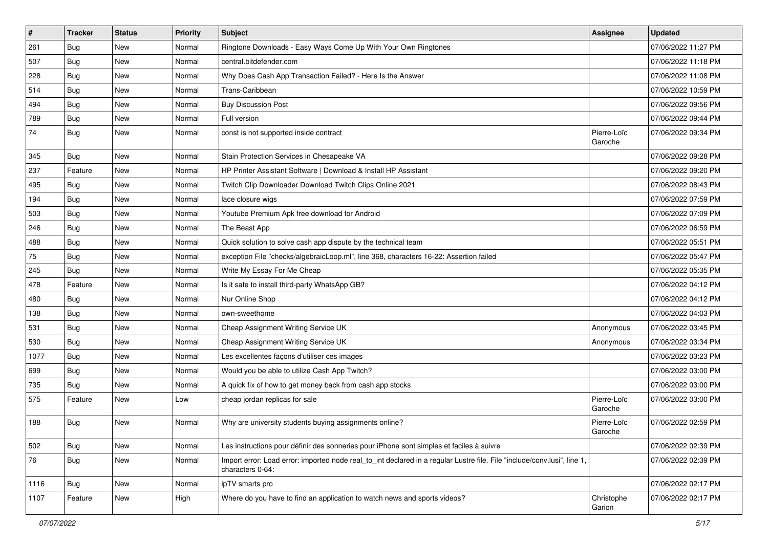| #    | <b>Tracker</b> | <b>Status</b> | <b>Priority</b> | <b>Subject</b>                                                                                                                               | Assignee               | <b>Updated</b>      |
|------|----------------|---------------|-----------------|----------------------------------------------------------------------------------------------------------------------------------------------|------------------------|---------------------|
| 261  | <b>Bug</b>     | New           | Normal          | Ringtone Downloads - Easy Ways Come Up With Your Own Ringtones                                                                               |                        | 07/06/2022 11:27 PM |
| 507  | Bug            | New           | Normal          | central.bitdefender.com                                                                                                                      |                        | 07/06/2022 11:18 PM |
| 228  | Bug            | New           | Normal          | Why Does Cash App Transaction Failed? - Here Is the Answer                                                                                   |                        | 07/06/2022 11:08 PM |
| 514  | <b>Bug</b>     | New           | Normal          | Trans-Caribbean                                                                                                                              |                        | 07/06/2022 10:59 PM |
| 494  | Bug            | <b>New</b>    | Normal          | <b>Buy Discussion Post</b>                                                                                                                   |                        | 07/06/2022 09:56 PM |
| 789  | <b>Bug</b>     | New           | Normal          | Full version                                                                                                                                 |                        | 07/06/2022 09:44 PM |
| 74   | Bug            | New           | Normal          | const is not supported inside contract                                                                                                       | Pierre-Loïc<br>Garoche | 07/06/2022 09:34 PM |
| 345  | <b>Bug</b>     | New           | Normal          | Stain Protection Services in Chesapeake VA                                                                                                   |                        | 07/06/2022 09:28 PM |
| 237  | Feature        | <b>New</b>    | Normal          | HP Printer Assistant Software   Download & Install HP Assistant                                                                              |                        | 07/06/2022 09:20 PM |
| 495  | <b>Bug</b>     | New           | Normal          | Twitch Clip Downloader Download Twitch Clips Online 2021                                                                                     |                        | 07/06/2022 08:43 PM |
| 194  | Bug            | New           | Normal          | lace closure wigs                                                                                                                            |                        | 07/06/2022 07:59 PM |
| 503  | Bug            | <b>New</b>    | Normal          | Youtube Premium Apk free download for Android                                                                                                |                        | 07/06/2022 07:09 PM |
| 246  | <b>Bug</b>     | New           | Normal          | The Beast App                                                                                                                                |                        | 07/06/2022 06:59 PM |
| 488  | Bug            | <b>New</b>    | Normal          | Quick solution to solve cash app dispute by the technical team                                                                               |                        | 07/06/2022 05:51 PM |
| 75   | <b>Bug</b>     | New           | Normal          | exception File "checks/algebraicLoop.ml", line 368, characters 16-22: Assertion failed                                                       |                        | 07/06/2022 05:47 PM |
| 245  | Bug            | New           | Normal          | Write My Essay For Me Cheap                                                                                                                  |                        | 07/06/2022 05:35 PM |
| 478  | Feature        | <b>New</b>    | Normal          | Is it safe to install third-party WhatsApp GB?                                                                                               |                        | 07/06/2022 04:12 PM |
| 480  | <b>Bug</b>     | New           | Normal          | Nur Online Shop                                                                                                                              |                        | 07/06/2022 04:12 PM |
| 138  | Bug            | New           | Normal          | own-sweethome                                                                                                                                |                        | 07/06/2022 04:03 PM |
| 531  | Bug            | <b>New</b>    | Normal          | Cheap Assignment Writing Service UK                                                                                                          | Anonymous              | 07/06/2022 03:45 PM |
| 530  | <b>Bug</b>     | New           | Normal          | Cheap Assignment Writing Service UK                                                                                                          | Anonymous              | 07/06/2022 03:34 PM |
| 1077 | Bug            | New           | Normal          | Les excellentes façons d'utiliser ces images                                                                                                 |                        | 07/06/2022 03:23 PM |
| 699  | <b>Bug</b>     | New           | Normal          | Would you be able to utilize Cash App Twitch?                                                                                                |                        | 07/06/2022 03:00 PM |
| 735  | <b>Bug</b>     | New           | Normal          | A quick fix of how to get money back from cash app stocks                                                                                    |                        | 07/06/2022 03:00 PM |
| 575  | Feature        | New           | Low             | cheap jordan replicas for sale                                                                                                               | Pierre-Loïc<br>Garoche | 07/06/2022 03:00 PM |
| 188  | Bug            | New           | Normal          | Why are university students buying assignments online?                                                                                       | Pierre-Loïc<br>Garoche | 07/06/2022 02:59 PM |
| 502  | <b>Bug</b>     | New           | Normal          | Les instructions pour définir des sonneries pour iPhone sont simples et faciles à suivre                                                     |                        | 07/06/2022 02:39 PM |
| 76   | Bug            | New           | Normal          | Import error: Load error: imported node real_to_int declared in a regular Lustre file. File "include/conv.lusi", line 1,<br>characters 0-64: |                        | 07/06/2022 02:39 PM |
| 1116 | <b>Bug</b>     | New           | Normal          | ipTV smarts pro                                                                                                                              |                        | 07/06/2022 02:17 PM |
| 1107 | Feature        | New           | High            | Where do you have to find an application to watch news and sports videos?                                                                    | Christophe<br>Garion   | 07/06/2022 02:17 PM |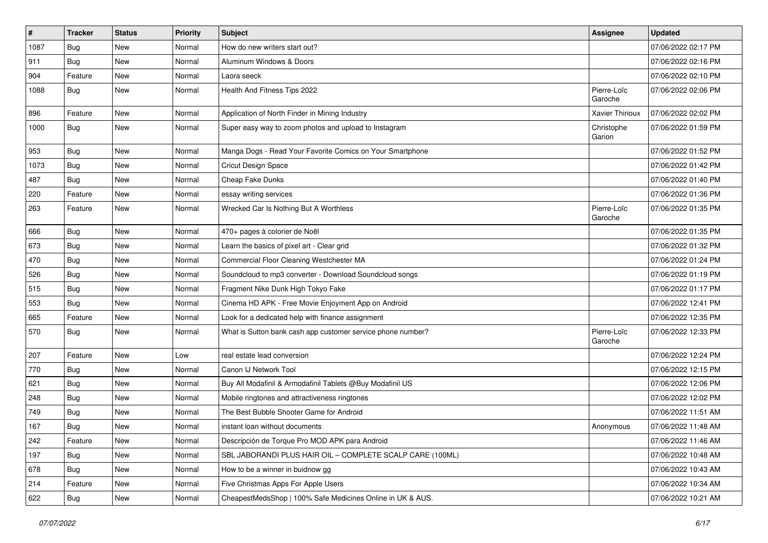| $\#$ | <b>Tracker</b> | <b>Status</b> | <b>Priority</b> | <b>Subject</b>                                              | <b>Assignee</b>        | <b>Updated</b>      |
|------|----------------|---------------|-----------------|-------------------------------------------------------------|------------------------|---------------------|
| 1087 | <b>Bug</b>     | <b>New</b>    | Normal          | How do new writers start out?                               |                        | 07/06/2022 02:17 PM |
| 911  | Bug            | <b>New</b>    | Normal          | Aluminum Windows & Doors                                    |                        | 07/06/2022 02:16 PM |
| 904  | Feature        | <b>New</b>    | Normal          | Laora seeck                                                 |                        | 07/06/2022 02:10 PM |
| 1088 | <b>Bug</b>     | <b>New</b>    | Normal          | Health And Fitness Tips 2022                                | Pierre-Loïc<br>Garoche | 07/06/2022 02:06 PM |
| 896  | Feature        | <b>New</b>    | Normal          | Application of North Finder in Mining Industry              | Xavier Thirioux        | 07/06/2022 02:02 PM |
| 1000 | <b>Bug</b>     | New           | Normal          | Super easy way to zoom photos and upload to Instagram       | Christophe<br>Garion   | 07/06/2022 01:59 PM |
| 953  | <b>Bug</b>     | <b>New</b>    | Normal          | Manga Dogs - Read Your Favorite Comics on Your Smartphone   |                        | 07/06/2022 01:52 PM |
| 1073 | Bug            | <b>New</b>    | Normal          | Cricut Design Space                                         |                        | 07/06/2022 01:42 PM |
| 487  | <b>Bug</b>     | New           | Normal          | Cheap Fake Dunks                                            |                        | 07/06/2022 01:40 PM |
| 220  | Feature        | <b>New</b>    | Normal          | essay writing services                                      |                        | 07/06/2022 01:36 PM |
| 263  | Feature        | <b>New</b>    | Normal          | Wrecked Car Is Nothing But A Worthless                      | Pierre-Loïc<br>Garoche | 07/06/2022 01:35 PM |
| 666  | <b>Bug</b>     | <b>New</b>    | Normal          | 470+ pages à colorier de Noël                               |                        | 07/06/2022 01:35 PM |
| 673  | <b>Bug</b>     | <b>New</b>    | Normal          | Learn the basics of pixel art - Clear grid                  |                        | 07/06/2022 01:32 PM |
| 470  | <b>Bug</b>     | <b>New</b>    | Normal          | Commercial Floor Cleaning Westchester MA                    |                        | 07/06/2022 01:24 PM |
| 526  | <b>Bug</b>     | <b>New</b>    | Normal          | Soundcloud to mp3 converter - Download Soundcloud songs     |                        | 07/06/2022 01:19 PM |
| 515  | <b>Bug</b>     | <b>New</b>    | Normal          | Fragment Nike Dunk High Tokyo Fake                          |                        | 07/06/2022 01:17 PM |
| 553  | <b>Bug</b>     | <b>New</b>    | Normal          | Cinema HD APK - Free Movie Enjoyment App on Android         |                        | 07/06/2022 12:41 PM |
| 665  | Feature        | <b>New</b>    | Normal          | Look for a dedicated help with finance assignment           |                        | 07/06/2022 12:35 PM |
| 570  | <b>Bug</b>     | <b>New</b>    | Normal          | What is Sutton bank cash app customer service phone number? | Pierre-Loïc<br>Garoche | 07/06/2022 12:33 PM |
| 207  | Feature        | New           | Low             | real estate lead conversion                                 |                        | 07/06/2022 12:24 PM |
| 770  | <b>Bug</b>     | <b>New</b>    | Normal          | Canon IJ Network Tool                                       |                        | 07/06/2022 12:15 PM |
| 621  | <b>Bug</b>     | <b>New</b>    | Normal          | Buy All Modafinil & Armodafinil Tablets @Buy Modafinil US   |                        | 07/06/2022 12:06 PM |
| 248  | <b>Bug</b>     | <b>New</b>    | Normal          | Mobile ringtones and attractiveness ringtones               |                        | 07/06/2022 12:02 PM |
| 749  | Bug            | <b>New</b>    | Normal          | The Best Bubble Shooter Game for Android                    |                        | 07/06/2022 11:51 AM |
| 167  | <b>Bug</b>     | New           | Normal          | instant loan without documents                              | Anonymous              | 07/06/2022 11:48 AM |
| 242  | Feature        | New           | Normal          | Descripción de Torque Pro MOD APK para Android              |                        | 07/06/2022 11:46 AM |
| 197  | <b>Bug</b>     | New           | Normal          | SBL JABORANDI PLUS HAIR OIL - COMPLETE SCALP CARE (100ML)   |                        | 07/06/2022 10:48 AM |
| 678  | <b>Bug</b>     | New           | Normal          | How to be a winner in buidnow gg                            |                        | 07/06/2022 10:43 AM |
| 214  | Feature        | New           | Normal          | Five Christmas Apps For Apple Users                         |                        | 07/06/2022 10:34 AM |
| 622  | <b>Bug</b>     | New           | Normal          | CheapestMedsShop   100% Safe Medicines Online in UK & AUS.  |                        | 07/06/2022 10:21 AM |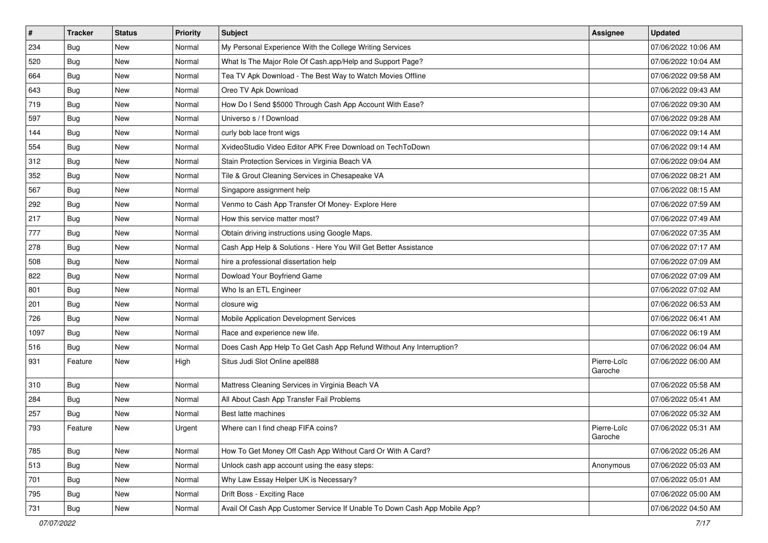| #    | <b>Tracker</b> | <b>Status</b> | <b>Priority</b> | <b>Subject</b>                                                            | <b>Assignee</b>        | <b>Updated</b>      |
|------|----------------|---------------|-----------------|---------------------------------------------------------------------------|------------------------|---------------------|
| 234  | Bug            | New           | Normal          | My Personal Experience With the College Writing Services                  |                        | 07/06/2022 10:06 AM |
| 520  | Bug            | New           | Normal          | What Is The Major Role Of Cash.app/Help and Support Page?                 |                        | 07/06/2022 10:04 AM |
| 664  | Bug            | New           | Normal          | Tea TV Apk Download - The Best Way to Watch Movies Offline                |                        | 07/06/2022 09:58 AM |
| 643  | Bug            | New           | Normal          | Oreo TV Apk Download                                                      |                        | 07/06/2022 09:43 AM |
| 719  | Bug            | <b>New</b>    | Normal          | How Do I Send \$5000 Through Cash App Account With Ease?                  |                        | 07/06/2022 09:30 AM |
| 597  | Bug            | New           | Normal          | Universo s / f Download                                                   |                        | 07/06/2022 09:28 AM |
| 144  | Bug            | New           | Normal          | curly bob lace front wigs                                                 |                        | 07/06/2022 09:14 AM |
| 554  | Bug            | <b>New</b>    | Normal          | XvideoStudio Video Editor APK Free Download on TechToDown                 |                        | 07/06/2022 09:14 AM |
| 312  | Bug            | New           | Normal          | Stain Protection Services in Virginia Beach VA                            |                        | 07/06/2022 09:04 AM |
| 352  | Bug            | <b>New</b>    | Normal          | Tile & Grout Cleaning Services in Chesapeake VA                           |                        | 07/06/2022 08:21 AM |
| 567  | <b>Bug</b>     | New           | Normal          | Singapore assignment help                                                 |                        | 07/06/2022 08:15 AM |
| 292  | Bug            | New           | Normal          | Venmo to Cash App Transfer Of Money- Explore Here                         |                        | 07/06/2022 07:59 AM |
| 217  | Bug            | <b>New</b>    | Normal          | How this service matter most?                                             |                        | 07/06/2022 07:49 AM |
| 777  | <b>Bug</b>     | New           | Normal          | Obtain driving instructions using Google Maps.                            |                        | 07/06/2022 07:35 AM |
| 278  | <b>Bug</b>     | New           | Normal          | Cash App Help & Solutions - Here You Will Get Better Assistance           |                        | 07/06/2022 07:17 AM |
| 508  | <b>Bug</b>     | New           | Normal          | hire a professional dissertation help                                     |                        | 07/06/2022 07:09 AM |
| 822  | Bug            | New           | Normal          | Dowload Your Boyfriend Game                                               |                        | 07/06/2022 07:09 AM |
| 801  | Bug            | <b>New</b>    | Normal          | Who Is an ETL Engineer                                                    |                        | 07/06/2022 07:02 AM |
| 201  | <b>Bug</b>     | New           | Normal          | closure wig                                                               |                        | 07/06/2022 06:53 AM |
| 726  | Bug            | New           | Normal          | Mobile Application Development Services                                   |                        | 07/06/2022 06:41 AM |
| 1097 | Bug            | New           | Normal          | Race and experience new life.                                             |                        | 07/06/2022 06:19 AM |
| 516  | Bug            | <b>New</b>    | Normal          | Does Cash App Help To Get Cash App Refund Without Any Interruption?       |                        | 07/06/2022 06:04 AM |
| 931  | Feature        | <b>New</b>    | High            | Situs Judi Slot Online apel888                                            | Pierre-Loïc<br>Garoche | 07/06/2022 06:00 AM |
| 310  | <b>Bug</b>     | <b>New</b>    | Normal          | Mattress Cleaning Services in Virginia Beach VA                           |                        | 07/06/2022 05:58 AM |
| 284  | Bug            | <b>New</b>    | Normal          | All About Cash App Transfer Fail Problems                                 |                        | 07/06/2022 05:41 AM |
| 257  | <b>Bug</b>     | New           | Normal          | Best latte machines                                                       |                        | 07/06/2022 05:32 AM |
| 793  | Feature        | New           | Urgent          | Where can I find cheap FIFA coins?                                        | Pierre-Loïc<br>Garoche | 07/06/2022 05:31 AM |
| 785  | Bug            | <b>New</b>    | Normal          | How To Get Money Off Cash App Without Card Or With A Card?                |                        | 07/06/2022 05:26 AM |
| 513  | <b>Bug</b>     | <b>New</b>    | Normal          | Unlock cash app account using the easy steps:                             | Anonymous              | 07/06/2022 05:03 AM |
| 701  | <b>Bug</b>     | New           | Normal          | Why Law Essay Helper UK is Necessary?                                     |                        | 07/06/2022 05:01 AM |
| 795  | Bug            | New           | Normal          | Drift Boss - Exciting Race                                                |                        | 07/06/2022 05:00 AM |
| 731  | <b>Bug</b>     | New           | Normal          | Avail Of Cash App Customer Service If Unable To Down Cash App Mobile App? |                        | 07/06/2022 04:50 AM |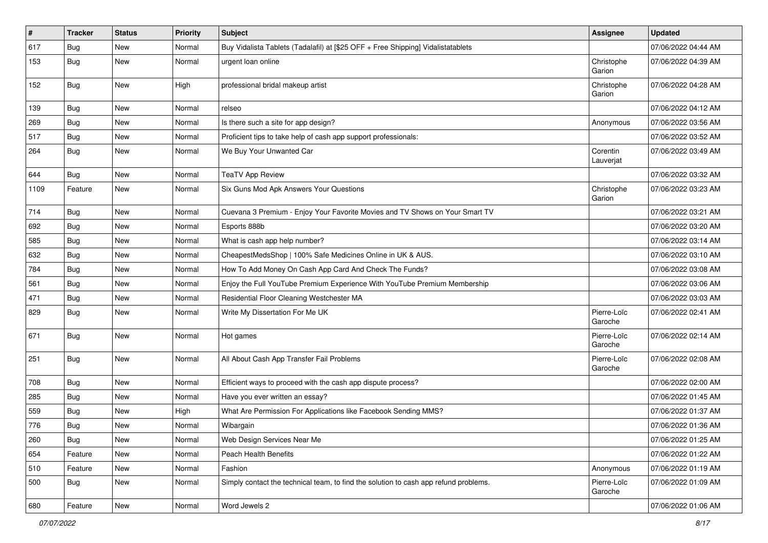| $\vert$ # | <b>Tracker</b> | <b>Status</b> | Priority | Subject                                                                              | <b>Assignee</b>        | <b>Updated</b>      |
|-----------|----------------|---------------|----------|--------------------------------------------------------------------------------------|------------------------|---------------------|
| 617       | Bug            | New           | Normal   | Buy Vidalista Tablets (Tadalafil) at [\$25 OFF + Free Shipping] Vidalistatablets     |                        | 07/06/2022 04:44 AM |
| 153       | <b>Bug</b>     | New           | Normal   | urgent loan online                                                                   | Christophe<br>Garion   | 07/06/2022 04:39 AM |
| 152       | Bug            | <b>New</b>    | High     | professional bridal makeup artist                                                    | Christophe<br>Garion   | 07/06/2022 04:28 AM |
| 139       | Bug            | <b>New</b>    | Normal   | relseo                                                                               |                        | 07/06/2022 04:12 AM |
| 269       | <b>Bug</b>     | New           | Normal   | Is there such a site for app design?                                                 | Anonymous              | 07/06/2022 03:56 AM |
| 517       | Bug            | <b>New</b>    | Normal   | Proficient tips to take help of cash app support professionals:                      |                        | 07/06/2022 03:52 AM |
| 264       | <b>Bug</b>     | New           | Normal   | We Buy Your Unwanted Car                                                             | Corentin<br>Lauverjat  | 07/06/2022 03:49 AM |
| 644       | <b>Bug</b>     | New           | Normal   | <b>TeaTV App Review</b>                                                              |                        | 07/06/2022 03:32 AM |
| 1109      | Feature        | New           | Normal   | Six Guns Mod Apk Answers Your Questions                                              | Christophe<br>Garion   | 07/06/2022 03:23 AM |
| 714       | <b>Bug</b>     | New           | Normal   | Cuevana 3 Premium - Enjoy Your Favorite Movies and TV Shows on Your Smart TV         |                        | 07/06/2022 03:21 AM |
| 692       | Bug            | New           | Normal   | Esports 888b                                                                         |                        | 07/06/2022 03:20 AM |
| 585       | Bug            | <b>New</b>    | Normal   | What is cash app help number?                                                        |                        | 07/06/2022 03:14 AM |
| 632       | <b>Bug</b>     | New           | Normal   | CheapestMedsShop   100% Safe Medicines Online in UK & AUS.                           |                        | 07/06/2022 03:10 AM |
| 784       | <b>Bug</b>     | <b>New</b>    | Normal   | How To Add Money On Cash App Card And Check The Funds?                               |                        | 07/06/2022 03:08 AM |
| 561       | <b>Bug</b>     | New           | Normal   | Enjoy the Full YouTube Premium Experience With YouTube Premium Membership            |                        | 07/06/2022 03:06 AM |
| 471       | <b>Bug</b>     | New           | Normal   | Residential Floor Cleaning Westchester MA                                            |                        | 07/06/2022 03:03 AM |
| 829       | Bug            | New           | Normal   | Write My Dissertation For Me UK                                                      | Pierre-Loïc<br>Garoche | 07/06/2022 02:41 AM |
| 671       | <b>Bug</b>     | New           | Normal   | Hot games                                                                            | Pierre-Loïc<br>Garoche | 07/06/2022 02:14 AM |
| 251       | <b>Bug</b>     | <b>New</b>    | Normal   | All About Cash App Transfer Fail Problems                                            | Pierre-Loïc<br>Garoche | 07/06/2022 02:08 AM |
| 708       | Bug            | <b>New</b>    | Normal   | Efficient ways to proceed with the cash app dispute process?                         |                        | 07/06/2022 02:00 AM |
| 285       | Bug            | <b>New</b>    | Normal   | Have you ever written an essay?                                                      |                        | 07/06/2022 01:45 AM |
| 559       | <b>Bug</b>     | New           | High     | What Are Permission For Applications like Facebook Sending MMS?                      |                        | 07/06/2022 01:37 AM |
| 776       | <b>Bug</b>     | New           | Normal   | Wibargain                                                                            |                        | 07/06/2022 01:36 AM |
| 260       | <b>Bug</b>     | New           | Normal   | Web Design Services Near Me                                                          |                        | 07/06/2022 01:25 AM |
| 654       | Feature        | New           | Normal   | Peach Health Benefits                                                                |                        | 07/06/2022 01:22 AM |
| 510       | Feature        | New           | Normal   | Fashion                                                                              | Anonymous              | 07/06/2022 01:19 AM |
| 500       | Bug            | New           | Normal   | Simply contact the technical team, to find the solution to cash app refund problems. | Pierre-Loïc<br>Garoche | 07/06/2022 01:09 AM |
| 680       | Feature        | New           | Normal   | Word Jewels 2                                                                        |                        | 07/06/2022 01:06 AM |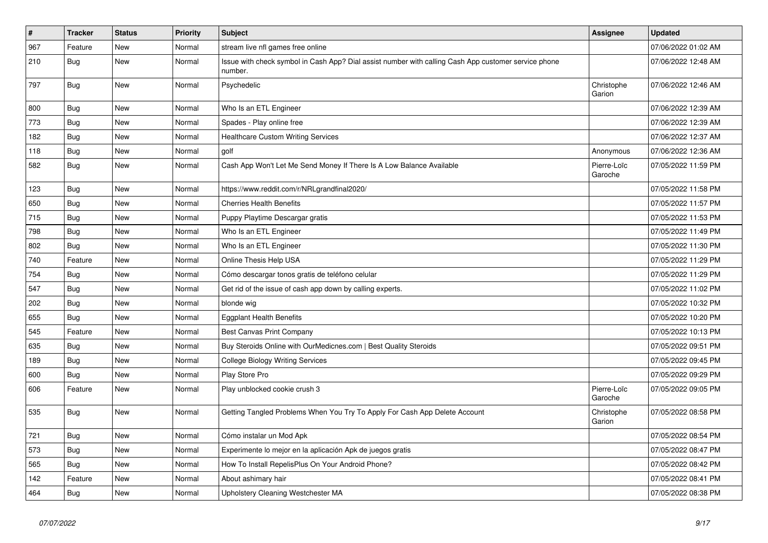| $\vert$ # | <b>Tracker</b> | <b>Status</b> | <b>Priority</b> | Subject                                                                                                         | <b>Assignee</b>        | <b>Updated</b>      |
|-----------|----------------|---------------|-----------------|-----------------------------------------------------------------------------------------------------------------|------------------------|---------------------|
| 967       | Feature        | <b>New</b>    | Normal          | stream live nfl games free online                                                                               |                        | 07/06/2022 01:02 AM |
| 210       | Bug            | New           | Normal          | Issue with check symbol in Cash App? Dial assist number with calling Cash App customer service phone<br>number. |                        | 07/06/2022 12:48 AM |
| 797       | <b>Bug</b>     | <b>New</b>    | Normal          | Psychedelic                                                                                                     | Christophe<br>Garion   | 07/06/2022 12:46 AM |
| 800       | <b>Bug</b>     | New           | Normal          | Who Is an ETL Engineer                                                                                          |                        | 07/06/2022 12:39 AM |
| 773       | Bug            | New           | Normal          | Spades - Play online free                                                                                       |                        | 07/06/2022 12:39 AM |
| 182       | Bug            | New           | Normal          | <b>Healthcare Custom Writing Services</b>                                                                       |                        | 07/06/2022 12:37 AM |
| 118       | <b>Bug</b>     | New           | Normal          | golf                                                                                                            | Anonymous              | 07/06/2022 12:36 AM |
| 582       | Bug            | New           | Normal          | Cash App Won't Let Me Send Money If There Is A Low Balance Available                                            | Pierre-Loïc<br>Garoche | 07/05/2022 11:59 PM |
| 123       | Bug            | <b>New</b>    | Normal          | https://www.reddit.com/r/NRLgrandfinal2020/                                                                     |                        | 07/05/2022 11:58 PM |
| 650       | <b>Bug</b>     | New           | Normal          | <b>Cherries Health Benefits</b>                                                                                 |                        | 07/05/2022 11:57 PM |
| 715       | Bug            | <b>New</b>    | Normal          | Puppy Playtime Descargar gratis                                                                                 |                        | 07/05/2022 11:53 PM |
| 798       | <b>Bug</b>     | New           | Normal          | Who Is an ETL Engineer                                                                                          |                        | 07/05/2022 11:49 PM |
| 802       | <b>Bug</b>     | New           | Normal          | Who Is an ETL Engineer                                                                                          |                        | 07/05/2022 11:30 PM |
| 740       | Feature        | New           | Normal          | Online Thesis Help USA                                                                                          |                        | 07/05/2022 11:29 PM |
| 754       | <b>Bug</b>     | New           | Normal          | Cómo descargar tonos gratis de teléfono celular                                                                 |                        | 07/05/2022 11:29 PM |
| 547       | Bug            | New           | Normal          | Get rid of the issue of cash app down by calling experts.                                                       |                        | 07/05/2022 11:02 PM |
| 202       | Bug            | New           | Normal          | blonde wig                                                                                                      |                        | 07/05/2022 10:32 PM |
| 655       | <b>Bug</b>     | New           | Normal          | <b>Eggplant Health Benefits</b>                                                                                 |                        | 07/05/2022 10:20 PM |
| 545       | Feature        | New           | Normal          | Best Canvas Print Company                                                                                       |                        | 07/05/2022 10:13 PM |
| 635       | Bug            | New           | Normal          | Buy Steroids Online with OurMedicnes.com   Best Quality Steroids                                                |                        | 07/05/2022 09:51 PM |
| 189       | Bug            | New           | Normal          | <b>College Biology Writing Services</b>                                                                         |                        | 07/05/2022 09:45 PM |
| 600       | <b>Bug</b>     | New           | Normal          | Play Store Pro                                                                                                  |                        | 07/05/2022 09:29 PM |
| 606       | Feature        | New           | Normal          | Play unblocked cookie crush 3                                                                                   | Pierre-Loïc<br>Garoche | 07/05/2022 09:05 PM |
| 535       | <b>Bug</b>     | New           | Normal          | Getting Tangled Problems When You Try To Apply For Cash App Delete Account                                      | Christophe<br>Garion   | 07/05/2022 08:58 PM |
| 721       | Bug            | <b>New</b>    | Normal          | Cómo instalar un Mod Apk                                                                                        |                        | 07/05/2022 08:54 PM |
| 573       | Bug            | New           | Normal          | Experimente lo mejor en la aplicación Apk de juegos gratis                                                      |                        | 07/05/2022 08:47 PM |
| 565       | Bug            | New           | Normal          | How To Install RepelisPlus On Your Android Phone?                                                               |                        | 07/05/2022 08:42 PM |
| 142       | Feature        | <b>New</b>    | Normal          | About ashimary hair                                                                                             |                        | 07/05/2022 08:41 PM |
| 464       | <b>Bug</b>     | New           | Normal          | Upholstery Cleaning Westchester MA                                                                              |                        | 07/05/2022 08:38 PM |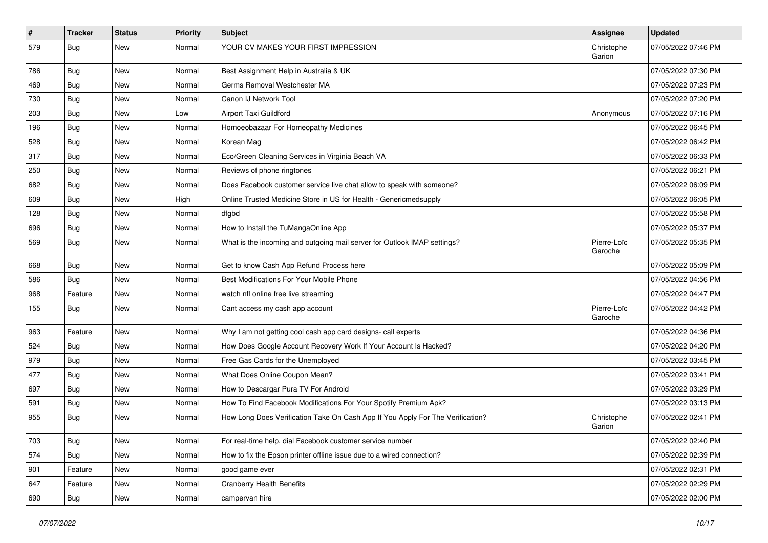| #   | <b>Tracker</b> | <b>Status</b> | <b>Priority</b> | <b>Subject</b>                                                                 | <b>Assignee</b>        | <b>Updated</b>      |
|-----|----------------|---------------|-----------------|--------------------------------------------------------------------------------|------------------------|---------------------|
| 579 | Bug            | New           | Normal          | YOUR CV MAKES YOUR FIRST IMPRESSION                                            | Christophe<br>Garion   | 07/05/2022 07:46 PM |
| 786 | <b>Bug</b>     | New           | Normal          | Best Assignment Help in Australia & UK                                         |                        | 07/05/2022 07:30 PM |
| 469 | <b>Bug</b>     | <b>New</b>    | Normal          | Germs Removal Westchester MA                                                   |                        | 07/05/2022 07:23 PM |
| 730 | <b>Bug</b>     | <b>New</b>    | Normal          | Canon IJ Network Tool                                                          |                        | 07/05/2022 07:20 PM |
| 203 | Bug            | New           | Low             | Airport Taxi Guildford                                                         | Anonymous              | 07/05/2022 07:16 PM |
| 196 | Bug            | <b>New</b>    | Normal          | Homoeobazaar For Homeopathy Medicines                                          |                        | 07/05/2022 06:45 PM |
| 528 | <b>Bug</b>     | New           | Normal          | Korean Mag                                                                     |                        | 07/05/2022 06:42 PM |
| 317 | Bug            | New           | Normal          | Eco/Green Cleaning Services in Virginia Beach VA                               |                        | 07/05/2022 06:33 PM |
| 250 | <b>Bug</b>     | <b>New</b>    | Normal          | Reviews of phone ringtones                                                     |                        | 07/05/2022 06:21 PM |
| 682 | <b>Bug</b>     | New           | Normal          | Does Facebook customer service live chat allow to speak with someone?          |                        | 07/05/2022 06:09 PM |
| 609 | Bug            | <b>New</b>    | High            | Online Trusted Medicine Store in US for Health - Genericmedsupply              |                        | 07/05/2022 06:05 PM |
| 128 | <b>Bug</b>     | New           | Normal          | dfgbd                                                                          |                        | 07/05/2022 05:58 PM |
| 696 | Bug            | New           | Normal          | How to Install the TuMangaOnline App                                           |                        | 07/05/2022 05:37 PM |
| 569 | <b>Bug</b>     | <b>New</b>    | Normal          | What is the incoming and outgoing mail server for Outlook IMAP settings?       | Pierre-Loïc<br>Garoche | 07/05/2022 05:35 PM |
| 668 | <b>Bug</b>     | <b>New</b>    | Normal          | Get to know Cash App Refund Process here                                       |                        | 07/05/2022 05:09 PM |
| 586 | <b>Bug</b>     | <b>New</b>    | Normal          | Best Modifications For Your Mobile Phone                                       |                        | 07/05/2022 04:56 PM |
| 968 | Feature        | New           | Normal          | watch nfl online free live streaming                                           |                        | 07/05/2022 04:47 PM |
| 155 | <b>Bug</b>     | <b>New</b>    | Normal          | Cant access my cash app account                                                | Pierre-Loïc<br>Garoche | 07/05/2022 04:42 PM |
| 963 | Feature        | <b>New</b>    | Normal          | Why I am not getting cool cash app card designs- call experts                  |                        | 07/05/2022 04:36 PM |
| 524 | <b>Bug</b>     | <b>New</b>    | Normal          | How Does Google Account Recovery Work If Your Account Is Hacked?               |                        | 07/05/2022 04:20 PM |
| 979 | Bug            | New           | Normal          | Free Gas Cards for the Unemployed                                              |                        | 07/05/2022 03:45 PM |
| 477 | Bug            | <b>New</b>    | Normal          | What Does Online Coupon Mean?                                                  |                        | 07/05/2022 03:41 PM |
| 697 | <b>Bug</b>     | New           | Normal          | How to Descargar Pura TV For Android                                           |                        | 07/05/2022 03:29 PM |
| 591 | Bug            | New           | Normal          | How To Find Facebook Modifications For Your Spotify Premium Apk?               |                        | 07/05/2022 03:13 PM |
| 955 | <b>Bug</b>     | New           | Normal          | How Long Does Verification Take On Cash App If You Apply For The Verification? | Christophe<br>Garion   | 07/05/2022 02:41 PM |
| 703 | <b>Bug</b>     | New           | Normal          | For real-time help, dial Facebook customer service number                      |                        | 07/05/2022 02:40 PM |
| 574 | <b>Bug</b>     | New           | Normal          | How to fix the Epson printer offline issue due to a wired connection?          |                        | 07/05/2022 02:39 PM |
| 901 | Feature        | New           | Normal          | good game ever                                                                 |                        | 07/05/2022 02:31 PM |
| 647 | Feature        | New           | Normal          | <b>Cranberry Health Benefits</b>                                               |                        | 07/05/2022 02:29 PM |
| 690 | <b>Bug</b>     | New           | Normal          | campervan hire                                                                 |                        | 07/05/2022 02:00 PM |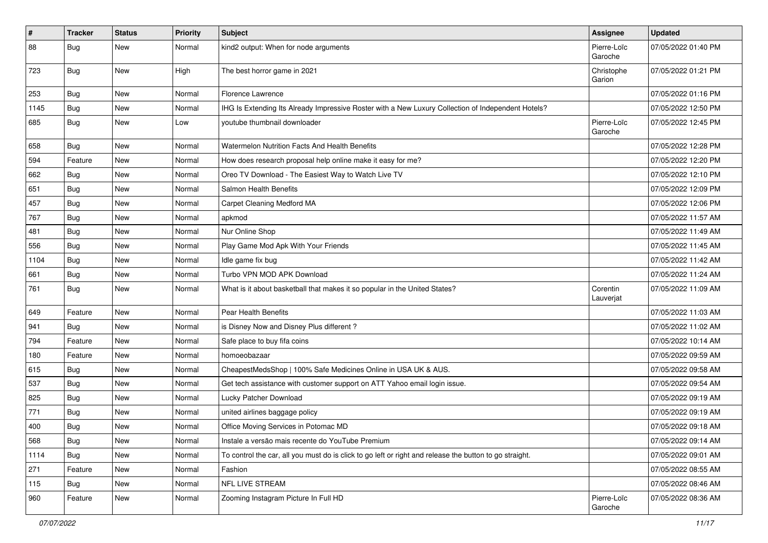| #    | <b>Tracker</b> | <b>Status</b> | <b>Priority</b> | <b>Subject</b>                                                                                          | Assignee               | <b>Updated</b>      |
|------|----------------|---------------|-----------------|---------------------------------------------------------------------------------------------------------|------------------------|---------------------|
| 88   | <b>Bug</b>     | New           | Normal          | kind2 output: When for node arguments                                                                   | Pierre-Loïc<br>Garoche | 07/05/2022 01:40 PM |
| 723  | Bug            | New           | High            | The best horror game in 2021                                                                            | Christophe<br>Garion   | 07/05/2022 01:21 PM |
| 253  | Bug            | <b>New</b>    | Normal          | Florence Lawrence                                                                                       |                        | 07/05/2022 01:16 PM |
| 1145 | Bug            | New           | Normal          | IHG Is Extending Its Already Impressive Roster with a New Luxury Collection of Independent Hotels?      |                        | 07/05/2022 12:50 PM |
| 685  | <b>Bug</b>     | New           | Low             | youtube thumbnail downloader                                                                            | Pierre-Loïc<br>Garoche | 07/05/2022 12:45 PM |
| 658  | Bug            | <b>New</b>    | Normal          | Watermelon Nutrition Facts And Health Benefits                                                          |                        | 07/05/2022 12:28 PM |
| 594  | Feature        | <b>New</b>    | Normal          | How does research proposal help online make it easy for me?                                             |                        | 07/05/2022 12:20 PM |
| 662  | Bug            | New           | Normal          | Oreo TV Download - The Easiest Way to Watch Live TV                                                     |                        | 07/05/2022 12:10 PM |
| 651  | Bug            | New           | Normal          | Salmon Health Benefits                                                                                  |                        | 07/05/2022 12:09 PM |
| 457  | Bug            | <b>New</b>    | Normal          | Carpet Cleaning Medford MA                                                                              |                        | 07/05/2022 12:06 PM |
| 767  | Bug            | New           | Normal          | apkmod                                                                                                  |                        | 07/05/2022 11:57 AM |
| 481  | Bug            | New           | Normal          | Nur Online Shop                                                                                         |                        | 07/05/2022 11:49 AM |
| 556  | <b>Bug</b>     | New           | Normal          | Play Game Mod Apk With Your Friends                                                                     |                        | 07/05/2022 11:45 AM |
| 1104 | <b>Bug</b>     | New           | Normal          | Idle game fix bug                                                                                       |                        | 07/05/2022 11:42 AM |
| 661  | Bug            | <b>New</b>    | Normal          | Turbo VPN MOD APK Download                                                                              |                        | 07/05/2022 11:24 AM |
| 761  | <b>Bug</b>     | New           | Normal          | What is it about basketball that makes it so popular in the United States?                              | Corentin<br>Lauverjat  | 07/05/2022 11:09 AM |
| 649  | Feature        | <b>New</b>    | Normal          | Pear Health Benefits                                                                                    |                        | 07/05/2022 11:03 AM |
| 941  | Bug            | New           | Normal          | is Disney Now and Disney Plus different?                                                                |                        | 07/05/2022 11:02 AM |
| 794  | Feature        | <b>New</b>    | Normal          | Safe place to buy fifa coins                                                                            |                        | 07/05/2022 10:14 AM |
| 180  | Feature        | New           | Normal          | homoeobazaar                                                                                            |                        | 07/05/2022 09:59 AM |
| 615  | Bug            | New           | Normal          | CheapestMedsShop   100% Safe Medicines Online in USA UK & AUS.                                          |                        | 07/05/2022 09:58 AM |
| 537  | Bug            | <b>New</b>    | Normal          | Get tech assistance with customer support on ATT Yahoo email login issue.                               |                        | 07/05/2022 09:54 AM |
| 825  | <b>Bug</b>     | New           | Normal          | Lucky Patcher Download                                                                                  |                        | 07/05/2022 09:19 AM |
| 771  | <b>Bug</b>     | New           | Normal          | united airlines baggage policy                                                                          |                        | 07/05/2022 09:19 AM |
| 400  | Bug            | New           | Normal          | Office Moving Services in Potomac MD                                                                    |                        | 07/05/2022 09:18 AM |
| 568  | Bug            | New           | Normal          | Instale a versão mais recente do YouTube Premium                                                        |                        | 07/05/2022 09:14 AM |
| 1114 | Bug            | New           | Normal          | To control the car, all you must do is click to go left or right and release the button to go straight. |                        | 07/05/2022 09:01 AM |
| 271  | Feature        | <b>New</b>    | Normal          | Fashion                                                                                                 |                        | 07/05/2022 08:55 AM |
| 115  | <b>Bug</b>     | New           | Normal          | NFL LIVE STREAM                                                                                         |                        | 07/05/2022 08:46 AM |
| 960  | Feature        | New           | Normal          | Zooming Instagram Picture In Full HD                                                                    | Pierre-Loïc<br>Garoche | 07/05/2022 08:36 AM |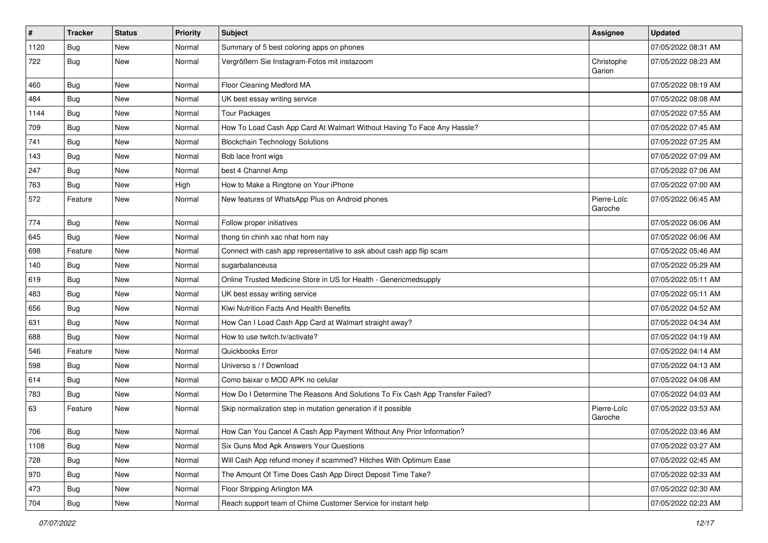| $\vert$ # | <b>Tracker</b> | <b>Status</b> | <b>Priority</b> | <b>Subject</b>                                                                | <b>Assignee</b>        | <b>Updated</b>      |
|-----------|----------------|---------------|-----------------|-------------------------------------------------------------------------------|------------------------|---------------------|
| 1120      | Bug            | New           | Normal          | Summary of 5 best coloring apps on phones                                     |                        | 07/05/2022 08:31 AM |
| 722       | <b>Bug</b>     | <b>New</b>    | Normal          | Vergrößern Sie Instagram-Fotos mit instazoom                                  | Christophe<br>Garion   | 07/05/2022 08:23 AM |
| 460       | Bug            | <b>New</b>    | Normal          | Floor Cleaning Medford MA                                                     |                        | 07/05/2022 08:19 AM |
| 484       | Bug            | <b>New</b>    | Normal          | UK best essay writing service                                                 |                        | 07/05/2022 08:08 AM |
| 1144      | Bug            | New           | Normal          | <b>Tour Packages</b>                                                          |                        | 07/05/2022 07:55 AM |
| 709       | Bug            | <b>New</b>    | Normal          | How To Load Cash App Card At Walmart Without Having To Face Any Hassle?       |                        | 07/05/2022 07:45 AM |
| 741       | Bug            | New           | Normal          | <b>Blockchain Technology Solutions</b>                                        |                        | 07/05/2022 07:25 AM |
| 143       | Bug            | <b>New</b>    | Normal          | Bob lace front wigs                                                           |                        | 07/05/2022 07:09 AM |
| 247       | Bug            | <b>New</b>    | Normal          | best 4 Channel Amp                                                            |                        | 07/05/2022 07:06 AM |
| 763       | <b>Bug</b>     | New           | High            | How to Make a Ringtone on Your iPhone                                         |                        | 07/05/2022 07:00 AM |
| 572       | Feature        | New           | Normal          | New features of WhatsApp Plus on Android phones                               | Pierre-Loïc<br>Garoche | 07/05/2022 06:45 AM |
| 774       | Bug            | <b>New</b>    | Normal          | Follow proper initiatives                                                     |                        | 07/05/2022 06:06 AM |
| 645       | Bug            | <b>New</b>    | Normal          | thong tin chinh xac nhat hom nay                                              |                        | 07/05/2022 06:06 AM |
| 698       | Feature        | New           | Normal          | Connect with cash app representative to ask about cash app flip scam          |                        | 07/05/2022 05:46 AM |
| 140       | <b>Bug</b>     | New           | Normal          | sugarbalanceusa                                                               |                        | 07/05/2022 05:29 AM |
| 619       | Bug            | <b>New</b>    | Normal          | Online Trusted Medicine Store in US for Health - Genericmedsupply             |                        | 07/05/2022 05:11 AM |
| 483       | Bug            | New           | Normal          | UK best essay writing service                                                 |                        | 07/05/2022 05:11 AM |
| 656       | <b>Bug</b>     | New           | Normal          | Kiwi Nutrition Facts And Health Benefits                                      |                        | 07/05/2022 04:52 AM |
| 631       | Bug            | New           | Normal          | How Can I Load Cash App Card at Walmart straight away?                        |                        | 07/05/2022 04:34 AM |
| 688       | <b>Bug</b>     | <b>New</b>    | Normal          | How to use twitch.tv/activate?                                                |                        | 07/05/2022 04:19 AM |
| 546       | Feature        | <b>New</b>    | Normal          | Quickbooks Error                                                              |                        | 07/05/2022 04:14 AM |
| 598       | <b>Bug</b>     | New           | Normal          | Universo s / f Download                                                       |                        | 07/05/2022 04:13 AM |
| 614       | Bug            | New           | Normal          | Como baixar o MOD APK no celular                                              |                        | 07/05/2022 04:08 AM |
| 783       | <b>Bug</b>     | <b>New</b>    | Normal          | How Do I Determine The Reasons And Solutions To Fix Cash App Transfer Failed? |                        | 07/05/2022 04:03 AM |
| 63        | Feature        | New           | Normal          | Skip normalization step in mutation generation if it possible                 | Pierre-Loïc<br>Garoche | 07/05/2022 03:53 AM |
| 706       | Bug            | New           | Normal          | How Can You Cancel A Cash App Payment Without Any Prior Information?          |                        | 07/05/2022 03:46 AM |
| 1108      | Bug            | New           | Normal          | Six Guns Mod Apk Answers Your Questions                                       |                        | 07/05/2022 03:27 AM |
| 728       | <b>Bug</b>     | New           | Normal          | Will Cash App refund money if scammed? Hitches With Optimum Ease              |                        | 07/05/2022 02:45 AM |
| 970       | <b>Bug</b>     | New           | Normal          | The Amount Of Time Does Cash App Direct Deposit Time Take?                    |                        | 07/05/2022 02:33 AM |
| 473       | Bug            | New           | Normal          | Floor Stripping Arlington MA                                                  |                        | 07/05/2022 02:30 AM |
| 704       | <b>Bug</b>     | New           | Normal          | Reach support team of Chime Customer Service for instant help                 |                        | 07/05/2022 02:23 AM |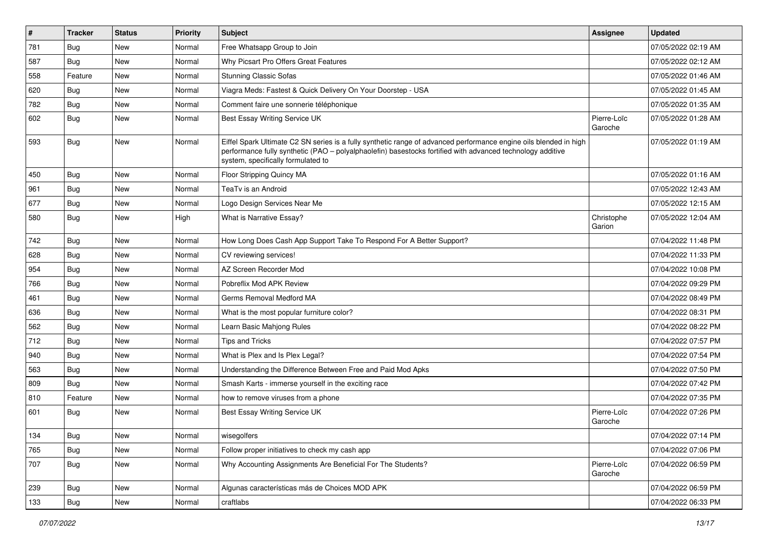| $\vert$ # | <b>Tracker</b> | <b>Status</b> | <b>Priority</b> | Subject                                                                                                                                                                                                                                                               | <b>Assignee</b>        | <b>Updated</b>      |
|-----------|----------------|---------------|-----------------|-----------------------------------------------------------------------------------------------------------------------------------------------------------------------------------------------------------------------------------------------------------------------|------------------------|---------------------|
| 781       | Bug            | New           | Normal          | Free Whatsapp Group to Join                                                                                                                                                                                                                                           |                        | 07/05/2022 02:19 AM |
| 587       | Bug            | <b>New</b>    | Normal          | Why Picsart Pro Offers Great Features                                                                                                                                                                                                                                 |                        | 07/05/2022 02:12 AM |
| 558       | Feature        | New           | Normal          | <b>Stunning Classic Sofas</b>                                                                                                                                                                                                                                         |                        | 07/05/2022 01:46 AM |
| 620       | Bug            | New           | Normal          | Viagra Meds: Fastest & Quick Delivery On Your Doorstep - USA                                                                                                                                                                                                          |                        | 07/05/2022 01:45 AM |
| 782       | Bug            | <b>New</b>    | Normal          | Comment faire une sonnerie téléphonique                                                                                                                                                                                                                               |                        | 07/05/2022 01:35 AM |
| 602       | <b>Bug</b>     | New           | Normal          | Best Essay Writing Service UK                                                                                                                                                                                                                                         | Pierre-Loïc<br>Garoche | 07/05/2022 01:28 AM |
| 593       | Bug            | <b>New</b>    | Normal          | Eiffel Spark Ultimate C2 SN series is a fully synthetic range of advanced performance engine oils blended in high<br>performance fully synthetic (PAO – polyalphaolefin) basestocks fortified with advanced technology additive<br>system, specifically formulated to |                        | 07/05/2022 01:19 AM |
| 450       | Bug            | New           | Normal          | Floor Stripping Quincy MA                                                                                                                                                                                                                                             |                        | 07/05/2022 01:16 AM |
| 961       | Bug            | New           | Normal          | TeaTv is an Android                                                                                                                                                                                                                                                   |                        | 07/05/2022 12:43 AM |
| 677       | Bug            | <b>New</b>    | Normal          | Logo Design Services Near Me                                                                                                                                                                                                                                          |                        | 07/05/2022 12:15 AM |
| 580       | <b>Bug</b>     | New           | High            | What is Narrative Essay?                                                                                                                                                                                                                                              | Christophe<br>Garion   | 07/05/2022 12:04 AM |
| 742       | Bug            | <b>New</b>    | Normal          | How Long Does Cash App Support Take To Respond For A Better Support?                                                                                                                                                                                                  |                        | 07/04/2022 11:48 PM |
| 628       | <b>Bug</b>     | <b>New</b>    | Normal          | CV reviewing services!                                                                                                                                                                                                                                                |                        | 07/04/2022 11:33 PM |
| 954       | Bug            | <b>New</b>    | Normal          | AZ Screen Recorder Mod                                                                                                                                                                                                                                                |                        | 07/04/2022 10:08 PM |
| 766       | Bug            | New           | Normal          | Pobreflix Mod APK Review                                                                                                                                                                                                                                              |                        | 07/04/2022 09:29 PM |
| 461       | Bug            | New           | Normal          | Germs Removal Medford MA                                                                                                                                                                                                                                              |                        | 07/04/2022 08:49 PM |
| 636       | Bug            | <b>New</b>    | Normal          | What is the most popular furniture color?                                                                                                                                                                                                                             |                        | 07/04/2022 08:31 PM |
| 562       | Bug            | New           | Normal          | Learn Basic Mahjong Rules                                                                                                                                                                                                                                             |                        | 07/04/2022 08:22 PM |
| 712       | Bug            | New           | Normal          | <b>Tips and Tricks</b>                                                                                                                                                                                                                                                |                        | 07/04/2022 07:57 PM |
| 940       | <b>Bug</b>     | New           | Normal          | What is Plex and Is Plex Legal?                                                                                                                                                                                                                                       |                        | 07/04/2022 07:54 PM |
| 563       | Bug            | New           | Normal          | Understanding the Difference Between Free and Paid Mod Apks                                                                                                                                                                                                           |                        | 07/04/2022 07:50 PM |
| 809       | Bug            | <b>New</b>    | Normal          | Smash Karts - immerse yourself in the exciting race                                                                                                                                                                                                                   |                        | 07/04/2022 07:42 PM |
| 810       | Feature        | New           | Normal          | how to remove viruses from a phone                                                                                                                                                                                                                                    |                        | 07/04/2022 07:35 PM |
| 601       | <b>Bug</b>     | New           | Normal          | Best Essay Writing Service UK                                                                                                                                                                                                                                         | Pierre-Loïc<br>Garoche | 07/04/2022 07:26 PM |
| 134       | Bug            | New           | Normal          | wisegolfers                                                                                                                                                                                                                                                           |                        | 07/04/2022 07:14 PM |
| 765       | Bug            | <b>New</b>    | Normal          | Follow proper initiatives to check my cash app                                                                                                                                                                                                                        |                        | 07/04/2022 07:06 PM |
| 707       | Bug            | New           | Normal          | Why Accounting Assignments Are Beneficial For The Students?                                                                                                                                                                                                           | Pierre-Loïc<br>Garoche | 07/04/2022 06:59 PM |
| 239       | Bug            | New           | Normal          | Algunas características más de Choices MOD APK                                                                                                                                                                                                                        |                        | 07/04/2022 06:59 PM |
| 133       | <b>Bug</b>     | New           | Normal          | craftlabs                                                                                                                                                                                                                                                             |                        | 07/04/2022 06:33 PM |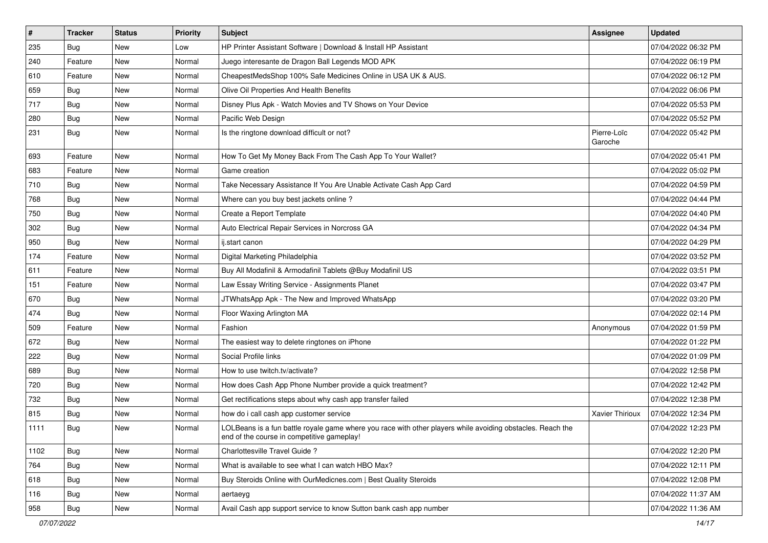| $\vert$ # | <b>Tracker</b> | <b>Status</b> | <b>Priority</b> | Subject                                                                                                                                                  | <b>Assignee</b>        | <b>Updated</b>      |
|-----------|----------------|---------------|-----------------|----------------------------------------------------------------------------------------------------------------------------------------------------------|------------------------|---------------------|
| 235       | Bug            | New           | Low             | HP Printer Assistant Software   Download & Install HP Assistant                                                                                          |                        | 07/04/2022 06:32 PM |
| 240       | Feature        | New           | Normal          | Juego interesante de Dragon Ball Legends MOD APK                                                                                                         |                        | 07/04/2022 06:19 PM |
| 610       | Feature        | New           | Normal          | CheapestMedsShop 100% Safe Medicines Online in USA UK & AUS.                                                                                             |                        | 07/04/2022 06:12 PM |
| 659       | <b>Bug</b>     | <b>New</b>    | Normal          | Olive Oil Properties And Health Benefits                                                                                                                 |                        | 07/04/2022 06:06 PM |
| 717       | Bug            | <b>New</b>    | Normal          | Disney Plus Apk - Watch Movies and TV Shows on Your Device                                                                                               |                        | 07/04/2022 05:53 PM |
| 280       | Bug            | New           | Normal          | Pacific Web Design                                                                                                                                       |                        | 07/04/2022 05:52 PM |
| 231       | Bug            | New           | Normal          | Is the ringtone download difficult or not?                                                                                                               | Pierre-Loïc<br>Garoche | 07/04/2022 05:42 PM |
| 693       | Feature        | <b>New</b>    | Normal          | How To Get My Money Back From The Cash App To Your Wallet?                                                                                               |                        | 07/04/2022 05:41 PM |
| 683       | Feature        | <b>New</b>    | Normal          | Game creation                                                                                                                                            |                        | 07/04/2022 05:02 PM |
| 710       | <b>Bug</b>     | New           | Normal          | Take Necessary Assistance If You Are Unable Activate Cash App Card                                                                                       |                        | 07/04/2022 04:59 PM |
| 768       | Bug            | New           | Normal          | Where can you buy best jackets online?                                                                                                                   |                        | 07/04/2022 04:44 PM |
| 750       | Bug            | New           | Normal          | Create a Report Template                                                                                                                                 |                        | 07/04/2022 04:40 PM |
| 302       | Bug            | New           | Normal          | Auto Electrical Repair Services in Norcross GA                                                                                                           |                        | 07/04/2022 04:34 PM |
| 950       | <b>Bug</b>     | New           | Normal          | ij.start canon                                                                                                                                           |                        | 07/04/2022 04:29 PM |
| 174       | Feature        | New           | Normal          | Digital Marketing Philadelphia                                                                                                                           |                        | 07/04/2022 03:52 PM |
| 611       | Feature        | <b>New</b>    | Normal          | Buy All Modafinil & Armodafinil Tablets @Buy Modafinil US                                                                                                |                        | 07/04/2022 03:51 PM |
| 151       | Feature        | <b>New</b>    | Normal          | Law Essay Writing Service - Assignments Planet                                                                                                           |                        | 07/04/2022 03:47 PM |
| 670       | <b>Bug</b>     | New           | Normal          | JTWhatsApp Apk - The New and Improved WhatsApp                                                                                                           |                        | 07/04/2022 03:20 PM |
| 474       | Bug            | New           | Normal          | Floor Waxing Arlington MA                                                                                                                                |                        | 07/04/2022 02:14 PM |
| 509       | Feature        | <b>New</b>    | Normal          | Fashion                                                                                                                                                  | Anonymous              | 07/04/2022 01:59 PM |
| 672       | Bug            | New           | Normal          | The easiest way to delete ringtones on iPhone                                                                                                            |                        | 07/04/2022 01:22 PM |
| 222       | Bug            | <b>New</b>    | Normal          | Social Profile links                                                                                                                                     |                        | 07/04/2022 01:09 PM |
| 689       | Bug            | New           | Normal          | How to use twitch.tv/activate?                                                                                                                           |                        | 07/04/2022 12:58 PM |
| 720       | Bug            | New           | Normal          | How does Cash App Phone Number provide a quick treatment?                                                                                                |                        | 07/04/2022 12:42 PM |
| 732       | Bug            | New           | Normal          | Get rectifications steps about why cash app transfer failed                                                                                              |                        | 07/04/2022 12:38 PM |
| 815       | Bug            | New           | Normal          | how do i call cash app customer service                                                                                                                  | Xavier Thirioux        | 07/04/2022 12:34 PM |
| 1111      | <b>Bug</b>     | New           | Normal          | LOLBeans is a fun battle royale game where you race with other players while avoiding obstacles. Reach the<br>end of the course in competitive gameplay! |                        | 07/04/2022 12:23 PM |
| 1102      | Bug            | <b>New</b>    | Normal          | Charlottesville Travel Guide?                                                                                                                            |                        | 07/04/2022 12:20 PM |
| 764       | Bug            | <b>New</b>    | Normal          | What is available to see what I can watch HBO Max?                                                                                                       |                        | 07/04/2022 12:11 PM |
| 618       | <b>Bug</b>     | New           | Normal          | Buy Steroids Online with OurMedicnes.com   Best Quality Steroids                                                                                         |                        | 07/04/2022 12:08 PM |
| 116       | <b>Bug</b>     | New           | Normal          | aertaeyg                                                                                                                                                 |                        | 07/04/2022 11:37 AM |
| 958       | Bug            | New           | Normal          | Avail Cash app support service to know Sutton bank cash app number                                                                                       |                        | 07/04/2022 11:36 AM |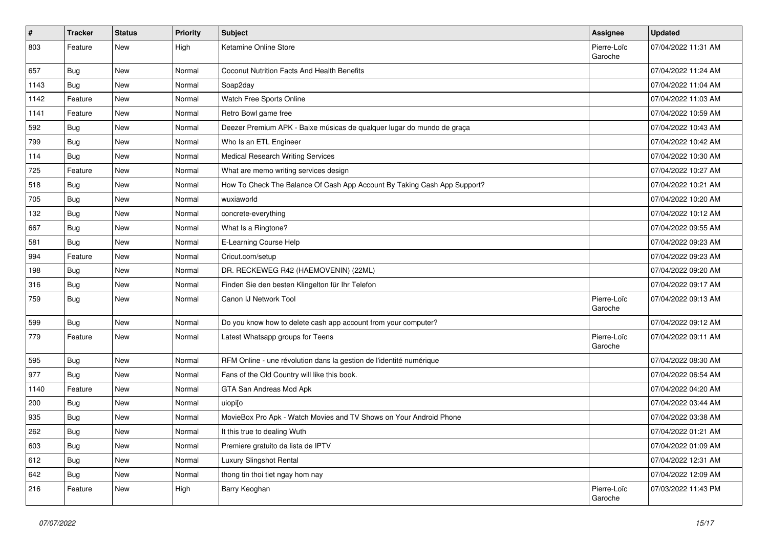| #    | <b>Tracker</b> | <b>Status</b> | <b>Priority</b> | Subject                                                                  | <b>Assignee</b>        | <b>Updated</b>      |
|------|----------------|---------------|-----------------|--------------------------------------------------------------------------|------------------------|---------------------|
| 803  | Feature        | New           | High            | Ketamine Online Store                                                    | Pierre-Loïc<br>Garoche | 07/04/2022 11:31 AM |
| 657  | Bug            | New           | Normal          | Coconut Nutrition Facts And Health Benefits                              |                        | 07/04/2022 11:24 AM |
| 1143 | <b>Bug</b>     | New           | Normal          | Soap2day                                                                 |                        | 07/04/2022 11:04 AM |
| 1142 | Feature        | <b>New</b>    | Normal          | Watch Free Sports Online                                                 |                        | 07/04/2022 11:03 AM |
| 1141 | Feature        | New           | Normal          | Retro Bowl game free                                                     |                        | 07/04/2022 10:59 AM |
| 592  | <b>Bug</b>     | New           | Normal          | Deezer Premium APK - Baixe músicas de qualquer lugar do mundo de graça   |                        | 07/04/2022 10:43 AM |
| 799  | Bug            | New           | Normal          | Who Is an ETL Engineer                                                   |                        | 07/04/2022 10:42 AM |
| 114  | Bug            | New           | Normal          | Medical Research Writing Services                                        |                        | 07/04/2022 10:30 AM |
| 725  | Feature        | New           | Normal          | What are memo writing services design                                    |                        | 07/04/2022 10:27 AM |
| 518  | Bug            | New           | Normal          | How To Check The Balance Of Cash App Account By Taking Cash App Support? |                        | 07/04/2022 10:21 AM |
| 705  | Bug            | New           | Normal          | wuxiaworld                                                               |                        | 07/04/2022 10:20 AM |
| 132  | Bug            | New           | Normal          | concrete-everything                                                      |                        | 07/04/2022 10:12 AM |
| 667  | Bug            | New           | Normal          | What Is a Ringtone?                                                      |                        | 07/04/2022 09:55 AM |
| 581  | <b>Bug</b>     | New           | Normal          | E-Learning Course Help                                                   |                        | 07/04/2022 09:23 AM |
| 994  | Feature        | New           | Normal          | Cricut.com/setup                                                         |                        | 07/04/2022 09:23 AM |
| 198  | <b>Bug</b>     | New           | Normal          | DR. RECKEWEG R42 (HAEMOVENIN) (22ML)                                     |                        | 07/04/2022 09:20 AM |
| 316  | Bug            | New           | Normal          | Finden Sie den besten Klingelton für Ihr Telefon                         |                        | 07/04/2022 09:17 AM |
| 759  | <b>Bug</b>     | New           | Normal          | Canon IJ Network Tool                                                    | Pierre-Loïc<br>Garoche | 07/04/2022 09:13 AM |
| 599  | Bug            | New           | Normal          | Do you know how to delete cash app account from your computer?           |                        | 07/04/2022 09:12 AM |
| 779  | Feature        | New           | Normal          | Latest Whatsapp groups for Teens                                         | Pierre-Loïc<br>Garoche | 07/04/2022 09:11 AM |
| 595  | Bug            | New           | Normal          | RFM Online - une révolution dans la gestion de l'identité numérique      |                        | 07/04/2022 08:30 AM |
| 977  | <b>Bug</b>     | <b>New</b>    | Normal          | Fans of the Old Country will like this book.                             |                        | 07/04/2022 06:54 AM |
| 1140 | Feature        | New           | Normal          | GTA San Andreas Mod Apk                                                  |                        | 07/04/2022 04:20 AM |
| 200  | Bug            | New           | Normal          | uiopi[o                                                                  |                        | 07/04/2022 03:44 AM |
| 935  | <b>Bug</b>     | New           | Normal          | MovieBox Pro Apk - Watch Movies and TV Shows on Your Android Phone       |                        | 07/04/2022 03:38 AM |
| 262  | Bug            | New           | Normal          | It this true to dealing Wuth                                             |                        | 07/04/2022 01:21 AM |
| 603  | <b>Bug</b>     | New           | Normal          | Premiere gratuito da lista de IPTV                                       |                        | 07/04/2022 01:09 AM |
| 612  | Bug            | New           | Normal          | Luxury Slingshot Rental                                                  |                        | 07/04/2022 12:31 AM |
| 642  | <b>Bug</b>     | New           | Normal          | thong tin thoi tiet ngay hom nay                                         |                        | 07/04/2022 12:09 AM |
| 216  | Feature        | New           | High            | Barry Keoghan                                                            | Pierre-Loïc<br>Garoche | 07/03/2022 11:43 PM |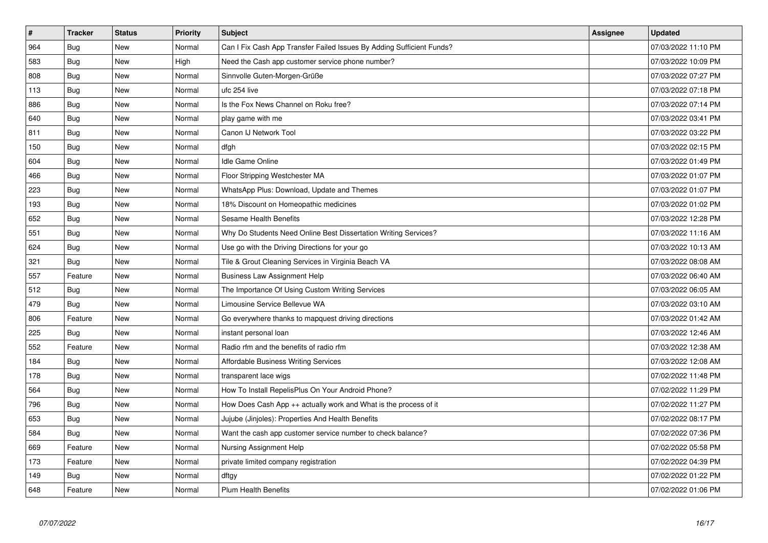| #   | <b>Tracker</b> | <b>Status</b> | <b>Priority</b> | <b>Subject</b>                                                        | Assignee | <b>Updated</b>      |
|-----|----------------|---------------|-----------------|-----------------------------------------------------------------------|----------|---------------------|
| 964 | Bug            | <b>New</b>    | Normal          | Can I Fix Cash App Transfer Failed Issues By Adding Sufficient Funds? |          | 07/03/2022 11:10 PM |
| 583 | Bug            | <b>New</b>    | High            | Need the Cash app customer service phone number?                      |          | 07/03/2022 10:09 PM |
| 808 | <b>Bug</b>     | <b>New</b>    | Normal          | Sinnvolle Guten-Morgen-Grüße                                          |          | 07/03/2022 07:27 PM |
| 113 | Bug            | New           | Normal          | ufc 254 live                                                          |          | 07/03/2022 07:18 PM |
| 886 | Bug            | <b>New</b>    | Normal          | Is the Fox News Channel on Roku free?                                 |          | 07/03/2022 07:14 PM |
| 640 | Bug            | <b>New</b>    | Normal          | play game with me                                                     |          | 07/03/2022 03:41 PM |
| 811 | Bug            | New           | Normal          | Canon IJ Network Tool                                                 |          | 07/03/2022 03:22 PM |
| 150 | <b>Bug</b>     | <b>New</b>    | Normal          | dfgh                                                                  |          | 07/03/2022 02:15 PM |
| 604 | Bug            | New           | Normal          | <b>Idle Game Online</b>                                               |          | 07/03/2022 01:49 PM |
| 466 | Bug            | <b>New</b>    | Normal          | Floor Stripping Westchester MA                                        |          | 07/03/2022 01:07 PM |
| 223 | Bug            | New           | Normal          | WhatsApp Plus: Download, Update and Themes                            |          | 07/03/2022 01:07 PM |
| 193 | Bug            | <b>New</b>    | Normal          | 18% Discount on Homeopathic medicines                                 |          | 07/03/2022 01:02 PM |
| 652 | Bug            | <b>New</b>    | Normal          | Sesame Health Benefits                                                |          | 07/03/2022 12:28 PM |
| 551 | Bug            | <b>New</b>    | Normal          | Why Do Students Need Online Best Dissertation Writing Services?       |          | 07/03/2022 11:16 AM |
| 624 | Bug            | New           | Normal          | Use go with the Driving Directions for your go                        |          | 07/03/2022 10:13 AM |
| 321 | <b>Bug</b>     | <b>New</b>    | Normal          | Tile & Grout Cleaning Services in Virginia Beach VA                   |          | 07/03/2022 08:08 AM |
| 557 | Feature        | New           | Normal          | <b>Business Law Assignment Help</b>                                   |          | 07/03/2022 06:40 AM |
| 512 | <b>Bug</b>     | <b>New</b>    | Normal          | The Importance Of Using Custom Writing Services                       |          | 07/03/2022 06:05 AM |
| 479 | Bug            | <b>New</b>    | Normal          | Limousine Service Bellevue WA                                         |          | 07/03/2022 03:10 AM |
| 806 | Feature        | <b>New</b>    | Normal          | Go everywhere thanks to mapquest driving directions                   |          | 07/03/2022 01:42 AM |
| 225 | <b>Bug</b>     | <b>New</b>    | Normal          | instant personal loan                                                 |          | 07/03/2022 12:46 AM |
| 552 | Feature        | <b>New</b>    | Normal          | Radio rfm and the benefits of radio rfm                               |          | 07/03/2022 12:38 AM |
| 184 | <b>Bug</b>     | New           | Normal          | <b>Affordable Business Writing Services</b>                           |          | 07/03/2022 12:08 AM |
| 178 | <b>Bug</b>     | <b>New</b>    | Normal          | transparent lace wigs                                                 |          | 07/02/2022 11:48 PM |
| 564 | <b>Bug</b>     | <b>New</b>    | Normal          | How To Install RepelisPlus On Your Android Phone?                     |          | 07/02/2022 11:29 PM |
| 796 | Bug            | New           | Normal          | How Does Cash App ++ actually work and What is the process of it      |          | 07/02/2022 11:27 PM |
| 653 | Bug            | <b>New</b>    | Normal          | Jujube (Jinjoles): Properties And Health Benefits                     |          | 07/02/2022 08:17 PM |
| 584 | Bug            | <b>New</b>    | Normal          | Want the cash app customer service number to check balance?           |          | 07/02/2022 07:36 PM |
| 669 | Feature        | New           | Normal          | Nursing Assignment Help                                               |          | 07/02/2022 05:58 PM |
| 173 | Feature        | New           | Normal          | private limited company registration                                  |          | 07/02/2022 04:39 PM |
| 149 | Bug            | <b>New</b>    | Normal          | dftgy                                                                 |          | 07/02/2022 01:22 PM |
| 648 | Feature        | <b>New</b>    | Normal          | <b>Plum Health Benefits</b>                                           |          | 07/02/2022 01:06 PM |